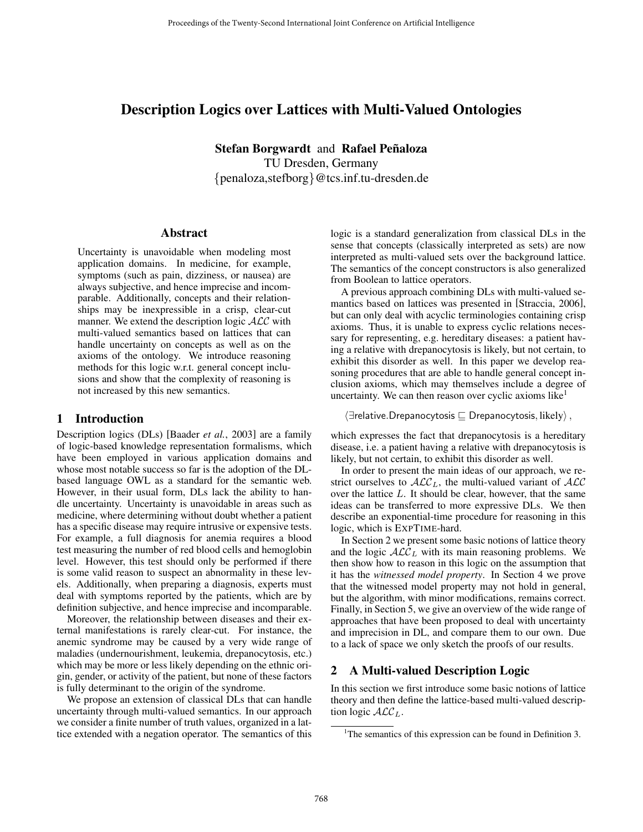# Description Logics over Lattices with Multi-Valued Ontologies

Stefan Borgwardt and Rafael Peñaloza TU Dresden, Germany {penaloza,stefborg}@tcs.inf.tu-dresden.de

### Abstract

Uncertainty is unavoidable when modeling most application domains. In medicine, for example, symptoms (such as pain, dizziness, or nausea) are always subjective, and hence imprecise and incomparable. Additionally, concepts and their relationships may be inexpressible in a crisp, clear-cut manner. We extend the description logic  $ALC$  with multi-valued semantics based on lattices that can handle uncertainty on concepts as well as on the axioms of the ontology. We introduce reasoning methods for this logic w.r.t. general concept inclusions and show that the complexity of reasoning is not increased by this new semantics.

## 1 Introduction

Description logics (DLs) [Baader *et al.*, 2003] are a family of logic-based knowledge representation formalisms, which have been employed in various application domains and whose most notable success so far is the adoption of the DLbased language OWL as a standard for the semantic web. However, in their usual form, DLs lack the ability to handle uncertainty. Uncertainty is unavoidable in areas such as medicine, where determining without doubt whether a patient has a specific disease may require intrusive or expensive tests. For example, a full diagnosis for anemia requires a blood test measuring the number of red blood cells and hemoglobin level. However, this test should only be performed if there is some valid reason to suspect an abnormality in these levels. Additionally, when preparing a diagnosis, experts must deal with symptoms reported by the patients, which are by definition subjective, and hence imprecise and incomparable.

Moreover, the relationship between diseases and their external manifestations is rarely clear-cut. For instance, the anemic syndrome may be caused by a very wide range of maladies (undernourishment, leukemia, drepanocytosis, etc.) which may be more or less likely depending on the ethnic origin, gender, or activity of the patient, but none of these factors is fully determinant to the origin of the syndrome.

We propose an extension of classical DLs that can handle uncertainty through multi-valued semantics. In our approach we consider a finite number of truth values, organized in a lattice extended with a negation operator. The semantics of this logic is a standard generalization from classical DLs in the sense that concepts (classically interpreted as sets) are now interpreted as multi-valued sets over the background lattice. The semantics of the concept constructors is also generalized from Boolean to lattice operators.

A previous approach combining DLs with multi-valued semantics based on lattices was presented in [Straccia, 2006], but can only deal with acyclic terminologies containing crisp axioms. Thus, it is unable to express cyclic relations necessary for representing, e.g. hereditary diseases: a patient having a relative with drepanocytosis is likely, but not certain, to exhibit this disorder as well. In this paper we develop reasoning procedures that are able to handle general concept inclusion axioms, which may themselves include a degree of uncertainty. We can then reason over cyclic axioms like $<sup>1</sup>$ </sup>

 $\langle \exists$ relative.Drepanocytosis  $\sqsubseteq$  Drepanocytosis, likely $\rangle$  ,

which expresses the fact that drepanocytosis is a hereditary disease, i.e. a patient having a relative with drepanocytosis is likely, but not certain, to exhibit this disorder as well.

In order to present the main ideas of our approach, we restrict ourselves to  $\text{ALC}_L$ , the multi-valued variant of  $\text{ALC}$ over the lattice L. It should be clear, however, that the same ideas can be transferred to more expressive DLs. We then describe an exponential-time procedure for reasoning in this logic, which is EXPTIME-hard.

In Section 2 we present some basic notions of lattice theory and the logic  $\mathcal{ALC}_L$  with its main reasoning problems. We then show how to reason in this logic on the assumption that it has the *witnessed model property*. In Section 4 we prove that the witnessed model property may not hold in general, but the algorithm, with minor modifications, remains correct. Finally, in Section 5, we give an overview of the wide range of approaches that have been proposed to deal with uncertainty and imprecision in DL, and compare them to our own. Due to a lack of space we only sketch the proofs of our results.

# 2 A Multi-valued Description Logic

In this section we first introduce some basic notions of lattice theory and then define the lattice-based multi-valued description logic  $\mathcal{ALC}_L$ .

<sup>&</sup>lt;sup>1</sup>The semantics of this expression can be found in Definition 3.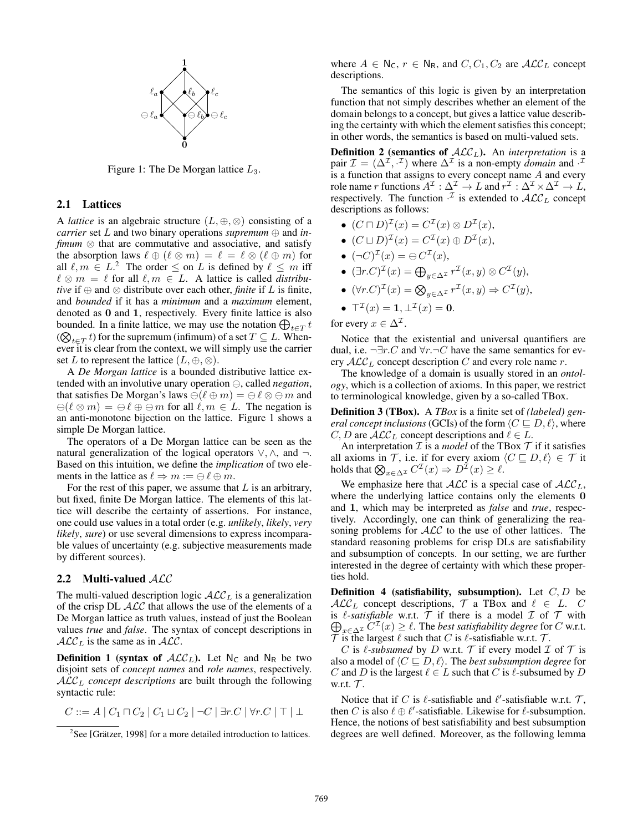

Figure 1: The De Morgan lattice  $L_3$ .

#### 2.1 Lattices

A *lattice* is an algebraic structure  $(L, \oplus, \otimes)$  consisting of a *carrier* set L and two binary operations *supremum* ⊕ and *infimum* ⊗ that are commutative and associative, and satisfy the absorption laws  $\ell \oplus (\ell \otimes m) = \ell = \ell \otimes (\ell \oplus m)$  for all  $\ell, m \in L^2$  The order  $\leq$  on L is defined by  $\ell \leq m$  iff  $\ell \otimes m = \ell$  for all  $\ell, m \in L$ . A lattice is called *distributive* if  $\oplus$  and  $\otimes$  distribute over each other, *finite* if L is finite, and *bounded* if it has a *minimum* and a *maximum* element, denoted as **0** and **1**, respectively. Every finite lattice is also bounded. In a finite lattice, we may use the notation  $bigoplus_{t \in T} t$  $(\bigotimes_{t \in T} t)$  for the supremum (infimum) of a set  $T \subseteq L$ . When-<br>we still also found the sentent we will almost use the service ever it is clear from the context, we will simply use the carrier set L to represent the lattice  $(L, \oplus, \otimes)$ .

A *De Morgan lattice* is a bounded distributive lattice extended with an involutive unary operation  $\ominus$ , called *negation*, that satisfies De Morgan's laws  $\ominus(\ell \oplus m) = \ominus \ell \otimes \ominus m$  and  $\ominus(\ell \otimes m) = \ominus \ell \oplus \ominus m$  for all  $\ell, m \in L$ . The negation is an anti-monotone bijection on the lattice. Figure 1 shows a simple De Morgan lattice.

The operators of a De Morgan lattice can be seen as the natural generalization of the logical operators ∨, ∧, and ¬. Based on this intuition, we define the *implication* of two elements in the lattice as  $\ell \Rightarrow m := \bigoplus \ell \oplus m$ .

For the rest of this paper, we assume that  $L$  is an arbitrary, but fixed, finite De Morgan lattice. The elements of this lattice will describe the certainty of assertions. For instance, one could use values in a total order (e.g. *unlikely*, *likely*, *very likely*, *sure*) or use several dimensions to express incomparable values of uncertainty (e.g. subjective measurements made by different sources).

#### 2.2 Multi-valued ALC

The multi-valued description logic  $\mathcal{ALC}_L$  is a generalization of the crisp DL  $ALC$  that allows the use of the elements of a De Morgan lattice as truth values, instead of just the Boolean values *true* and *false*. The syntax of concept descriptions in  $\mathcal{ALC}_L$  is the same as in  $\mathcal{ALC}$ .

**Definition 1 (syntax of**  $ALC<sub>L</sub>$ **).** Let N<sub>C</sub> and N<sub>R</sub> be two disjoint sets of *concept names* and *role names*, respectively. ALC<sup>L</sup> *concept descriptions* are built through the following syntactic rule:

$$
C ::= A \mid C_1 \sqcap C_2 \mid C_1 \sqcup C_2 \mid \neg C \mid \exists r.C \mid \forall r.C \mid \top \mid \bot
$$

where  $A \in N_c$ ,  $r \in N_R$ , and  $C, C_1, C_2$  are  $\mathcal{ALC}_L$  concept descriptions.

The semantics of this logic is given by an interpretation function that not simply describes whether an element of the domain belongs to a concept, but gives a lattice value describing the certainty with which the element satisfies this concept; in other words, the semantics is based on multi-valued sets.

**Definition 2** (semantics of  $ALC<sub>L</sub>$ ). An *interpretation* is a pair  $\mathcal{I} = (\Delta^{\mathcal{I}}, \cdot^{\mathcal{I}})$  where  $\Delta^{\mathcal{I}}$  is a non-empty *domain* and  $\cdot^{\mathcal{I}}$ is a function that assigns to every concept name A and every role name r functions  $A^{\mathcal{I}} : \Delta^{\mathcal{I}} \to L$  and  $r^{\mathcal{I}} : \Delta^{\mathcal{I}} \times \Delta^{\mathcal{I}} \to L$ , respectively. The function  $\cdot^{\mathcal{I}}$  is extended to  $\mathcal{ALC}_L$  concept descriptions as follows:

- $(C \sqcap D)^{\mathcal{I}}(x) = C^{\mathcal{I}}(x) \otimes D^{\mathcal{I}}(x)$ ,
- $(C \sqcup D)^{\mathcal{I}}(x) = C^{\mathcal{I}}(x) \oplus D^{\mathcal{I}}(x),$
- $(\neg C)^{\mathcal{I}}(x) = \ominus C^{\mathcal{I}}(x),$
- $(\exists r.C)^{\mathcal{I}}(x) = \bigoplus_{y \in \Delta^{\mathcal{I}}} r^{\mathcal{I}}(x, y) \otimes C^{\mathcal{I}}(y),$
- $(\forall r.C)^{\mathcal{I}}(x) = \bigotimes_{y \in \Delta^{\mathcal{I}}} r^{\mathcal{I}}(x, y) \Rightarrow C^{\mathcal{I}}(y),$
- $\mathsf{T}^{\mathcal{I}}(x) = 1, \perp^{\mathcal{I}}(x) = 0.$

for every  $x \in \Delta^{\mathcal{I}}$ .

Notice that the existential and universal quantifiers are dual, i.e.  $\neg \exists r.C$  and  $\forall r.\neg C$  have the same semantics for every  $\mathcal{ALC}_L$  concept description C and every role name r.

The knowledge of a domain is usually stored in an *ontology*, which is a collection of axioms. In this paper, we restrict to terminological knowledge, given by a so-called TBox.

Definition 3 (TBox). A *TBox* is a finite set of *(labeled) general concept inclusions (*GCIs) of the form  $\langle C \sqsubseteq D, \ell \rangle,$  where  $C, D$  are  $\mathcal{ALC}_L$  concept descriptions and  $\ell \in L$ .

An interpretation  $\mathcal I$  is a *model* of the TBox  $\mathcal T$  if it satisfies all axioms in  $\mathcal{T}$ , i.e. if for every axiom  $\langle C \sqsubseteq D, \ell \rangle \in \mathcal{T}$  it holds that  $\bigotimes_{x \in \Delta^{\mathcal{I}}} C^{\mathcal{I}}(x) \Rightarrow D^{\mathcal{I}}(x) \geq \ell$ .

We emphasize here that  $ALC$  is a special case of  $ALC<sub>L</sub>$ , where the underlying lattice contains only the elements **0** and **1**, which may be interpreted as *false* and *true*, respectively. Accordingly, one can think of generalizing the reasoning problems for  $ALC$  to the use of other lattices. The standard reasoning problems for crisp DLs are satisfiability and subsumption of concepts. In our setting, we are further interested in the degree of certainty with which these properties hold.

**Definition 4 (satisfiability, subsumption).** Let  $C, D$  be  $\mathcal{ALC}_L$  concept descriptions,  $\mathcal{T}$  a TBox and  $\ell \in L$ . C is *l*-satisfiable w.r.t.  $T$  if there is a model  $\mathcal I$  of  $\mathcal T$  with  $\bigoplus_{x \in \Delta^{\mathcal{I}}} C^{\mathcal{I}}(x) \geq \ell$ . The *best satisfiability degree* for C w.r.t.  $\mathcal T$  is the largest  $\ell$  such that C is  $\ell$ -satisfiable w.r.t.  $\mathcal T$ .

C is  $\ell$ -subsumed by D w.r.t. T if every model  $\mathcal I$  of  $\mathcal T$  is also a model of  $\lang{C} \sqsubseteq D, \ell\rangle.$  The *best subsumption degree* for C and D is the largest  $\ell \in L$  such that C is  $\ell$ -subsumed by D w.r.t.  $\mathcal{T}$ .

Notice that if C is  $\ell$ -satisfiable and  $\ell'$ -satisfiable w.r.t. T, then C is also  $\ell \oplus \ell'$ -satisfiable. Likewise for  $\ell$ -subsumption. Hence, the notions of best satisfiability and best subsumption degrees are well defined. Moreover, as the following lemma

<sup>&</sup>lt;sup>2</sup>See [Grätzer, 1998] for a more detailed introduction to lattices.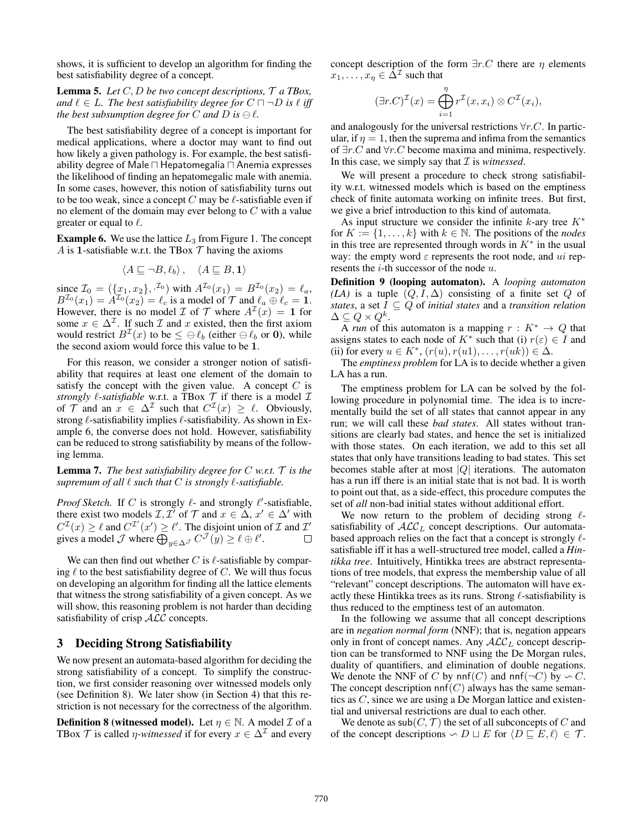shows, it is sufficient to develop an algorithm for finding the best satisfiability degree of a concept.

Lemma 5. *Let* C, D *be two concept descriptions,* T *a TBox,* and  $\ell \in L$ . The best satisfiability degree for  $C \sqcap \neg D$  is  $\ell$  iff the best subsumption degree for  $C$  and  $D$  is  $\ominus \ell$ .

The best satisfiability degree of a concept is important for medical applications, where a doctor may want to find out how likely a given pathology is. For example, the best satisfiability degree of Male  $\Box$  Hepatomegalia  $\Box$  Anemia expresses the likelihood of finding an hepatomegalic male with anemia. In some cases, however, this notion of satisfiability turns out to be too weak, since a concept  $C$  may be  $\ell$ -satisfiable even if no element of the domain may ever belong to C with a value greater or equal to  $\ell$ .

**Example 6.** We use the lattice  $L_3$  from Figure 1. The concept A is 1-satisfiable w.r.t. the TBox  $T$  having the axioms

$$
\langle A \sqsubseteq \neg B, \ell_b \rangle \,, \quad \langle A \sqsubseteq B, \mathbf{1} \rangle
$$

since  $\mathcal{I}_0 = (\{x_1, x_2\},\cdot^{L_0})$  with  $A^{L_0}(x_1) = B^{L_0}(x_2) = \ell_a$ ,  $B^{L_0}(x_1) = A^{L_0}(x_2) = \ell_c$  is a model of  $\mathcal T$  and  $\ell_a \oplus \ell_c = 1$ . However, there is no model  $\mathcal I$  of  $\mathcal T$  where  $A^{\mathcal I}(x) = 1$  for some  $x \in \Delta^{\mathcal{I}}$ . If such  $\mathcal I$  and  $x$  existed, then the first axiom would restrict  $B^{\perp}(x)$  to be  $\leq \bigoplus \ell_b$  (either  $\bigoplus \ell_b$  or 0), while the second axiom would force this value to be **1**.

For this reason, we consider a stronger notion of satisfiability that requires at least one element of the domain to satisfy the concept with the given value. A concept  $C$  is *strongly*  $\ell$ -*satisfiable* w.r.t. a TBox  $\mathcal T$  if there is a model  $\mathcal I$ of T and an  $x \in \Delta^{\mathcal{I}}$  such that  $C^{\mathcal{I}}(x) \geq \ell$ . Obviously, strong  $\ell$ -satisfiability implies  $\ell$ -satisfiability. As shown in Example 6, the converse does not hold. However, satisfiability can be reduced to strong satisfiability by means of the following lemma.

Lemma 7. *The best satisfiability degree for* C *w.r.t.* T *is the*  $supremum of all  $\ell$  such that  $C$  is strongly  $\ell$ -satisfiable.$ 

*Proof Sketch.* If C is strongly  $\ell$ - and strongly  $\ell'$ -satisfiable, there exist two models  $\mathcal{I}, \mathcal{I}'$  of  $\mathcal{T}$  and  $x \in \Delta$ ,  $x' \in \Delta'$  with  $C^{\mathcal{I}}(x) \geq \ell$  and  $C^{\mathcal{I}'}(x') \geq \ell'$ . The disjoint union of  $\mathcal I$  and  $\mathcal I'$ gives a model  $\mathcal J$  where  $\bigoplus_{y \in \Delta^{\mathcal J}} C^{\mathcal J}(y) \ge \ell \oplus \ell'.$ 

We can then find out whether  $C$  is  $\ell$ -satisfiable by comparing  $\ell$  to the best satisfiability degree of C. We will thus focus on developing an algorithm for finding all the lattice elements that witness the strong satisfiability of a given concept. As we will show, this reasoning problem is not harder than deciding satisfiability of crisp  $ALC$  concepts.

# 3 Deciding Strong Satisfiability

We now present an automata-based algorithm for deciding the strong satisfiability of a concept. To simplify the construction, we first consider reasoning over witnessed models only (see Definition 8). We later show (in Section 4) that this restriction is not necessary for the correctness of the algorithm.

**Definition 8 (witnessed model).** Let  $\eta \in \mathbb{N}$ . A model  $\mathcal{I}$  of a TBox T is called  $\eta$ -witnessed if for every  $x \in \Delta^{\mathcal{I}}$  and every concept description of the form  $\exists r.C$  there are  $\eta$  elements  $x_1, \ldots, x_n \in \overline{\Delta}^{\mathcal{I}}$  such that

$$
(\exists r.C)^{\mathcal{I}}(x) = \bigoplus_{i=1}^{\eta} r^{\mathcal{I}}(x, x_i) \otimes C^{\mathcal{I}}(x_i),
$$

and analogously for the universal restrictions  $\forall r.C$ . In particular, if  $\eta = 1$ , then the suprema and infima from the semantics of  $\exists r.C$  and  $\forall r.C$  become maxima and minima, respectively. In this case, we simply say that  $\mathcal I$  is *witnessed*.

We will present a procedure to check strong satisfiability w.r.t. witnessed models which is based on the emptiness check of finite automata working on infinite trees. But first, we give a brief introduction to this kind of automata.

As input structure we consider the infinite k-ary tree  $K^*$ for  $K := \{1, \ldots, k\}$  with  $k \in \mathbb{N}$ . The positions of the *nodes* in this tree are represented through words in  $K^*$  in the usual way: the empty word  $\varepsilon$  represents the root node, and ui represents the  $i$ -th successor of the node  $u$ .

Definition 9 (looping automaton). A *looping automaton*  $(LA)$  is a tuple  $(Q, I, \Delta)$  consisting of a finite set Q of *states*, a set  $I \subseteq Q$  of *initial states* and a *transition relation*  $\Delta \subseteq Q \times Q^k.$ 

A *run* of this automaton is a mapping  $r : K^* \to Q$  that assigns states to each node of  $K^*$  such that (i)  $r(\varepsilon) \in I$  and (ii) for every  $u \in K^*$ ,  $(r(u), r(u1), \ldots, r(uk)) \in \Delta$ .

The *emptiness problem* for LA is to decide whether a given LA has a run.

The emptiness problem for LA can be solved by the following procedure in polynomial time. The idea is to incrementally build the set of all states that cannot appear in any run; we will call these *bad states*. All states without transitions are clearly bad states, and hence the set is initialized with those states. On each iteration, we add to this set all states that only have transitions leading to bad states. This set becomes stable after at most  $|Q|$  iterations. The automaton has a run iff there is an initial state that is not bad. It is worth to point out that, as a side-effect, this procedure computes the set of *all* non-bad initial states without additional effort.

We now return to the problem of deciding strong  $\ell$ satisfiability of  $ALC<sub>L</sub>$  concept descriptions. Our automatabased approach relies on the fact that a concept is strongly  $\ell$ satisfiable iff it has a well-structured tree model, called a *Hintikka tree*. Intuitively, Hintikka trees are abstract representations of tree models, that express the membership value of all "relevant" concept descriptions. The automaton will have exactly these Hintikka trees as its runs. Strong  $\ell$ -satisfiability is thus reduced to the emptiness test of an automaton.

In the following we assume that all concept descriptions are in *negation normal form* (NNF); that is, negation appears only in front of concept names. Any  $\mathcal{ALC}_L$  concept description can be transformed to NNF using the De Morgan rules, duality of quantifiers, and elimination of double negations. We denote the NNF of C by nnf(C) and nnf( $\neg$ C) by  $\sim$  C.<br>The concent description nnf(C) always has the same seman-The concept description  $nnf(C)$  always has the same semantics as C, since we are using a De Morgan lattice and existential and universal restrictions are dual to each other.

We denote as  $\mathsf{sub}(C, \mathcal{T})$  the set of all subconcepts of C and of the concept descriptions  $\backsim D \sqcup E$  for  $\langle D \sqsubseteq E, \ell \rangle \in \mathcal{T}$ .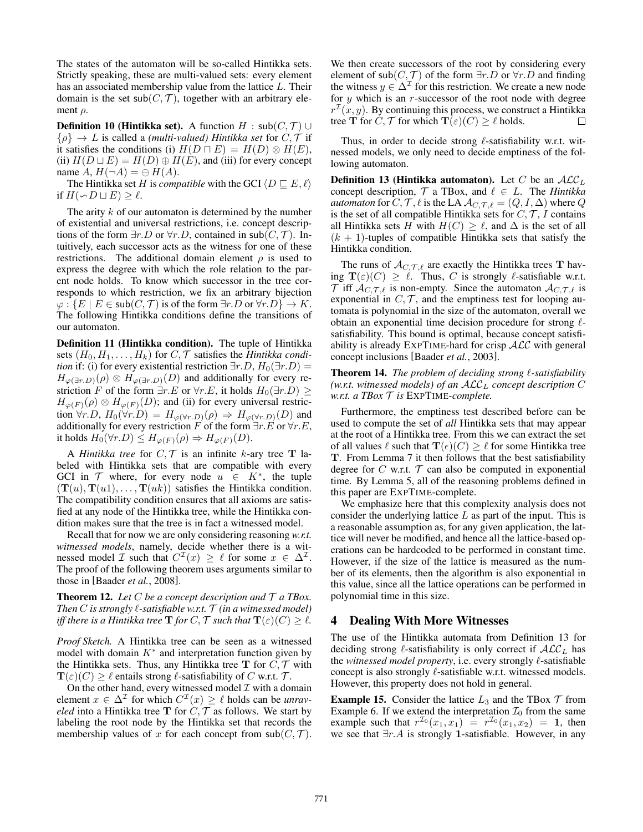The states of the automaton will be so-called Hintikka sets. Strictly speaking, these are multi-valued sets: every element has an associated membership value from the lattice L. Their domain is the set  $\mathsf{sub}(C, \mathcal{T})$ , together with an arbitrary element  $\rho$ .

**Definition 10 (Hintikka set).** A function  $H : sub(C, \mathcal{T}) \cup$  $\{\rho\} \to L$  is called a *(multi-valued) Hintikka set* for  $C, \mathcal{T}$  if it satisfies the conditions (i)  $H(D \sqcap E) = H(D) \otimes H(E)$ , (ii)  $H(D \sqcup E) = H(D) \oplus H(E)$ , and (iii) for every concept name  $A, H(\neg A) = \bigoplus H(A).$ 

The Hintikka set H is *compatible* with the GCI  $\langle D \sqsubseteq E, \ell \rangle$ if  $H(\sim D \sqcup E) \geq \ell$ .

The arity  $k$  of our automaton is determined by the number of existential and universal restrictions, i.e. concept descriptions of the form  $\exists r.D$  or  $\forall r.D$ , contained in sub $(C, \mathcal{T})$ . Intuitively, each successor acts as the witness for one of these restrictions. The additional domain element  $\rho$  is used to express the degree with which the role relation to the parent node holds. To know which successor in the tree corresponds to which restriction, we fix an arbitrary bijection  $\varphi: \{E \mid E \in sub(C, \mathcal{T}) \text{ is of the form } \exists r.D \text{ or } \forall r.D\} \to K.$ The following Hintikka conditions define the transitions of our automaton.

Definition 11 (Hintikka condition). The tuple of Hintikka sets  $(H_0, H_1, \ldots, H_k)$  for  $C, \mathcal{T}$  satisfies the *Hintikka condition* if: (i) for every existential restriction  $\exists r.D$ ,  $H_0(\exists r.D)$  =  $H_{\varphi(\exists r.D)}(\rho) \otimes H_{\varphi(\exists r.D)}(D)$  and additionally for every restriction F of the form  $\exists r.E$  or  $\forall r.E$ , it holds  $H_0(\exists r.D) \geq$  $H_{\varphi(F)}(\rho) \otimes H_{\varphi(F)}(D)$ ; and (ii) for every universal restriction  $\forall r.D$ ,  $H_0(\forall r.D) = H_{\varphi(\forall r.D)}(\rho) \Rightarrow H_{\varphi(\forall r.D)}(D)$  and additionally for every restriction F of the form  $\exists r.E$  or  $\forall r.E$ , it holds  $H_0(\forall r.D) \leq H_{\varphi(F)}(\rho) \Rightarrow H_{\varphi(F)}(D).$ 

A *Hintikka tree* for  $C, \mathcal{T}$  is an infinite k-ary tree **T** labeled with Hintikka sets that are compatible with every GCI in  $\mathcal T$  where, for every node  $u \in K^*$ , the tuple  $(T(u), T(u1), \ldots, T(uk))$  satisfies the Hintikka condition. The compatibility condition ensures that all axioms are satisfied at any node of the Hintikka tree, while the Hintikka condition makes sure that the tree is in fact a witnessed model.

Recall that for now we are only considering reasoning *w.r.t. witnessed models*, namely, decide whether there is a witnessed model *I* such that  $C^{\perp}(x) \geq \ell$  for some  $x \in \Delta^{\perp}$ . The proof of the following theorem uses arguments similar to those in [Baader *et al.*, 2008].

**Theorem 12.** Let  $C$  be a concept description and  $T$  a TBox. Then  $C$  is strongly  $\ell$ -satisfiable w.r.t.  $\mathcal T$  (in a witnessed model) *iff there is a Hintikka tree*  $\mathbf{T}$  *for*  $C, \mathcal{T}$  *such that*  $\mathbf{T}(\varepsilon)(C) \geq \ell.$ 

*Proof Sketch.* A Hintikka tree can be seen as a witnessed model with domain  $K^*$  and interpretation function given by the Hintikka sets. Thus, any Hintikka tree **T** for  $C, \mathcal{T}$  with  $\mathbf{T}(\varepsilon)(C) \geq \ell$  entails strong  $\ell$ -satisfiability of C w.r.t. T.

On the other hand, every witnessed model  $\mathcal I$  with a domain element  $x \in \Delta^{\mathcal{I}}$  for which  $C^{\mathcal{I}}(x) \geq \ell$  holds can be *unraveled* into a Hintikka tree **T** for  $C, \mathcal{T}$  as follows. We start by labeling the root node by the Hintikka set that records the membership values of x for each concept from  $\mathsf{sub}(C, \mathcal{T})$ . We then create successors of the root by considering every element of sub $(C, \mathcal{T})$  of the form  $\exists r.D$  or  $\forall r.D$  and finding the witness  $y \in \Delta^{\mathcal{I}}$  for this restriction. We create a new node for  $y$  which is an  $r$ -successor of the root node with degree  $r^{\mathcal{I}}(x, y)$ . By continuing this process, we construct a Hintikka tree **T** for  $C, \mathcal{T}$  for which  $\mathbf{T}(\varepsilon)(C) \ge \ell$  holds.  $\Box$ 

Thus, in order to decide strong  $\ell$ -satisfiability w.r.t. witnessed models, we only need to decide emptiness of the following automaton.

**Definition 13 (Hintikka automaton).** Let C be an  $ALC<sub>L</sub>$ concept description,  $\mathcal{T}$  a TBox, and  $\ell \in L$ . The *Hintikka automaton* for  $C, \mathcal{T}, \ell$  is the LA  $\mathcal{A}_{C, \mathcal{T}, \ell} = (Q, I, \Delta)$  where  $Q$ is the set of all compatible Hintikka sets for  $C, \mathcal{T}, I$  contains all Hintikka sets H with  $H(C) \geq \ell$ , and  $\Delta$  is the set of all  $(k + 1)$ -tuples of compatible Hintikka sets that satisfy the Hintikka condition.

The runs of  $\mathcal{A}_{C,\mathcal{T},\ell}$  are exactly the Hintikka trees **T** having  $\mathbf{T}(\varepsilon)(C) \geq \ell$ . Thus, C is strongly  $\ell$ -satisfiable w.r.t.  $\mathcal T$  iff  $\mathcal A_{C,\mathcal T,\ell}$  is non-empty. Since the automaton  $\mathcal A_{C,\mathcal T,\ell}$  is exponential in  $C, \mathcal{T}$ , and the emptiness test for looping automata is polynomial in the size of the automaton, overall we obtain an exponential time decision procedure for strong  $\ell$ satisfiability. This bound is optimal, because concept satisfiability is already  $\text{EXPTIME-hard}$  for crisp  $\text{ALC}$  with general concept inclusions [Baader *et al.*, 2003].

Theorem 14. The problem of deciding strong  $\ell$ -satisfiability *(w.r.t. witnessed models) of an*  $\mathcal{ALC}_L$  *concept description* C *w.r.t. a TBox* T *is* EXPTIME*-complete.*

Furthermore, the emptiness test described before can be used to compute the set of *all* Hintikka sets that may appear at the root of a Hintikka tree. From this we can extract the set of all values  $\ell$  such that  $\mathbf{T}(\epsilon)(C) \geq \ell$  for some Hintikka tree **T**. From Lemma 7 it then follows that the best satisfiability degree for  $C$  w.r.t.  $T$  can also be computed in exponential time. By Lemma 5, all of the reasoning problems defined in this paper are EXPTIME-complete.

We emphasize here that this complexity analysis does not consider the underlying lattice  $L$  as part of the input. This is a reasonable assumption as, for any given application, the lattice will never be modified, and hence all the lattice-based operations can be hardcoded to be performed in constant time. However, if the size of the lattice is measured as the number of its elements, then the algorithm is also exponential in this value, since all the lattice operations can be performed in polynomial time in this size.

## 4 Dealing With More Witnesses

The use of the Hintikka automata from Definition 13 for deciding strong  $\ell$ -satisfiability is only correct if  $\mathcal{ALC}_L$  has the *witnessed model property*, i.e. every strongly  $\ell$ -satisfiable concept is also strongly  $\ell$ -satisfiable w.r.t. witnessed models. However, this property does not hold in general.

**Example 15.** Consider the lattice  $L_3$  and the TBox  $\mathcal T$  from Example 6. If we extend the interpretation  $\mathcal{I}_0$  from the same example such that  $r^{I_0}(x_1, x_1) = r^{I_0}(x_1, x_2) = 1$ , then we see that ∃r.A is strongly **1**-satisfiable. However, in any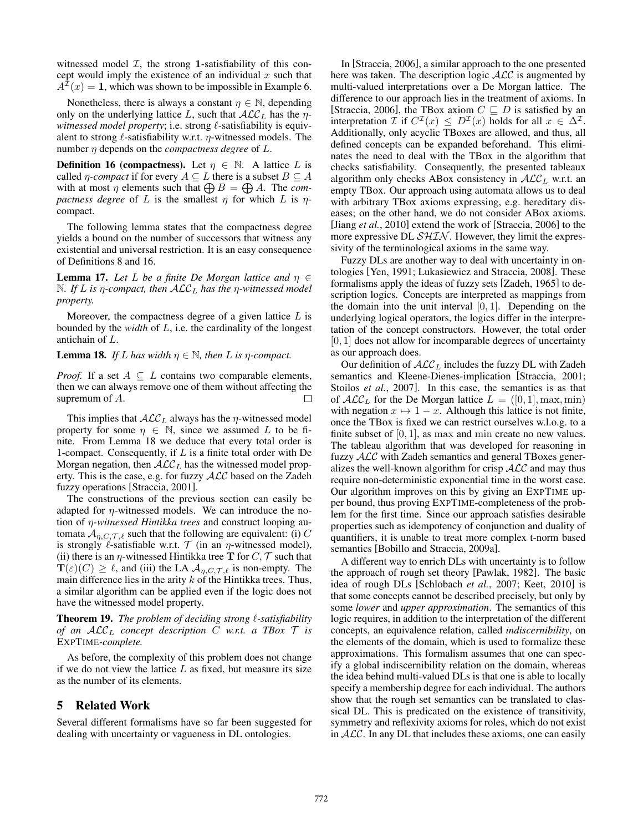witnessed model  $I$ , the strong 1-satisfiability of this concept would imply the existence of an individual  $x$  such that  $A^{2}(x) = 1$ , which was shown to be impossible in Example 6.

Nonetheless, there is always a constant  $\eta \in \mathbb{N}$ , depending only on the underlying lattice L, such that  $\mathcal{ALC}_L$  has the  $\eta$ witnessed model property; i.e. strong  $\ell$ -satisfiability is equivalent to strong  $\ell$ -satisfiability w.r.t.  $\eta$ -witnessed models. The number η depends on the *compactness degree* of L.

**Definition 16 (compactness).** Let  $\eta \in \mathbb{N}$ . A lattice L is called *η*-*compact* if for every  $A \subseteq L$  there is a subset  $B \subseteq A$ with at most  $\eta$  elements such that  $\bigoplus B = \bigoplus A$ . The *compactness degree* of L is the smallest  $\eta$  for which L is  $\eta$ compact.

The following lemma states that the compactness degree yields a bound on the number of successors that witness any existential and universal restriction. It is an easy consequence of Definitions 8 and 16.

**Lemma 17.** *Let L be a finite De Morgan lattice and*  $\eta \in$ N*. If* L *is* η*-compact, then* ALC<sup>L</sup> *has the* η*-witnessed model property.*

Moreover, the compactness degree of a given lattice  $L$  is bounded by the *width* of L, i.e. the cardinality of the longest antichain of L.

**Lemma 18.** *If L* has width  $n \in \mathbb{N}$ , then *L* is *n*-compact.

*Proof.* If a set  $A \subseteq L$  contains two comparable elements, then we can always remove one of them without affecting the supremum of A. П

This implies that  $ALC<sub>L</sub>$  always has the *η*-witnessed model property for some  $\eta \in \mathbb{N}$ , since we assumed L to be finite. From Lemma 18 we deduce that every total order is 1-compact. Consequently, if  $L$  is a finite total order with De Morgan negation, then  $\mathcal{ALC}_L$  has the witnessed model property. This is the case, e.g. for fuzzy  $ALC$  based on the Zadeh fuzzy operations [Straccia, 2001].

The constructions of the previous section can easily be adapted for  $\eta$ -witnessed models. We can introduce the notion of η*-witnessed Hintikka trees* and construct looping automata  $A_{n,C,T,\ell}$  such that the following are equivalent: (i) C is strongly  $\ell$ -satisfiable w.r.t.  $\mathcal T$  (in an  $\eta$ -witnessed model), (ii) there is an  $\eta$ -witnessed Hintikka tree **T** for C,  $\mathcal{T}$  such that  $\mathbf{T}(\varepsilon)(C) \geq \ell$ , and (iii) the LA  $\mathcal{A}_{\eta,C,\mathcal{T},\ell}$  is non-empty. The main difference lies in the arity  $k$  of the Hintikka trees. Thus, a similar algorithm can be applied even if the logic does not have the witnessed model property.

Theorem 19. The problem of deciding strong  $\ell$ -satisfiability *of an*  $ALC_L$  *concept description* C *w.r.t. a TBox*  $\mathcal{T}$  *is* EXPTIME*-complete.*

As before, the complexity of this problem does not change if we do not view the lattice  $L$  as fixed, but measure its size as the number of its elements.

## 5 Related Work

Several different formalisms have so far been suggested for dealing with uncertainty or vagueness in DL ontologies.

In [Straccia, 2006], a similar approach to the one presented here was taken. The description logic  $\mathcal{ALC}$  is augmented by multi-valued interpretations over a De Morgan lattice. The difference to our approach lies in the treatment of axioms. In [Straccia, 2006], the TBox axiom  $C \subseteq D$  is satisfied by an interpretation  $\mathcal I$  if  $C^{\mathcal I}(x) \leq D^{\mathcal I}(x)$  holds for all  $x \in \Delta^{\mathcal I}$ . Additionally, only acyclic TBoxes are allowed, and thus, all defined concepts can be expanded beforehand. This eliminates the need to deal with the TBox in the algorithm that checks satisfiability. Consequently, the presented tableaux algorithm only checks ABox consistency in  $ALC<sub>L</sub>$  w.r.t. an empty TBox. Our approach using automata allows us to deal with arbitrary TBox axioms expressing, e.g. hereditary diseases; on the other hand, we do not consider ABox axioms. [Jiang *et al.*, 2010] extend the work of [Straccia, 2006] to the more expressive DL  $\mathcal{SHIN}$ . However, they limit the expressivity of the terminological axioms in the same way.

Fuzzy DLs are another way to deal with uncertainty in ontologies [Yen, 1991; Lukasiewicz and Straccia, 2008]. These formalisms apply the ideas of fuzzy sets [Zadeh, 1965] to description logics. Concepts are interpreted as mappings from the domain into the unit interval  $[0, 1]$ . Depending on the underlying logical operators, the logics differ in the interpretation of the concept constructors. However, the total order  $[0, 1]$  does not allow for incomparable degrees of uncertainty as our approach does.

Our definition of  $ALC<sub>L</sub>$  includes the fuzzy DL with Zadeh semantics and Kleene-Dienes-implication [Straccia, 2001; Stoilos *et al.*, 2007]. In this case, the semantics is as that of  $\mathcal{ALC}_L$  for the De Morgan lattice  $L = ([0, 1], \max, \min)$ with negation  $x \mapsto 1 - x$ . Although this lattice is not finite, once the TBox is fixed we can restrict ourselves w.l.o.g. to a finite subset of  $[0, 1]$ , as max and min create no new values. The tableau algorithm that was developed for reasoning in fuzzy ALC with Zadeh semantics and general TBoxes generalizes the well-known algorithm for crisp  $ALC$  and may thus require non-deterministic exponential time in the worst case. Our algorithm improves on this by giving an EXPTIME upper bound, thus proving EXPTIME-completeness of the problem for the first time. Since our approach satisfies desirable properties such as idempotency of conjunction and duality of quantifiers, it is unable to treat more complex t-norm based semantics [Bobillo and Straccia, 2009a].

A different way to enrich DLs with uncertainty is to follow the approach of rough set theory [Pawlak, 1982]. The basic idea of rough DLs [Schlobach *et al.*, 2007; Keet, 2010] is that some concepts cannot be described precisely, but only by some *lower* and *upper approximation*. The semantics of this logic requires, in addition to the interpretation of the different concepts, an equivalence relation, called *indiscernibility*, on the elements of the domain, which is used to formalize these approximations. This formalism assumes that one can specify a global indiscernibility relation on the domain, whereas the idea behind multi-valued DLs is that one is able to locally specify a membership degree for each individual. The authors show that the rough set semantics can be translated to classical DL. This is predicated on the existence of transitivity, symmetry and reflexivity axioms for roles, which do not exist in  $ALC$ . In any DL that includes these axioms, one can easily